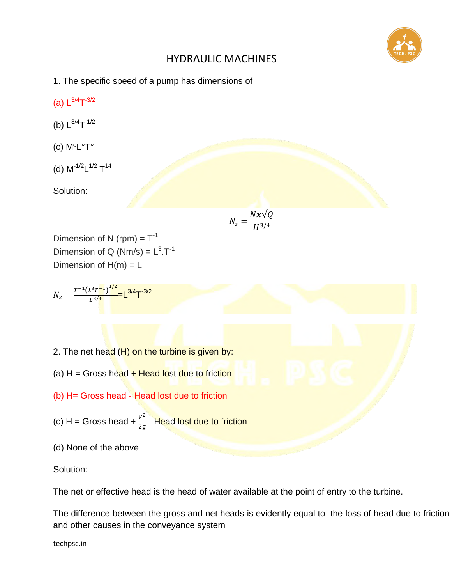

- 1. The specific speed of a pump has dimensions of
- (a)  $L^{3/4}T^{-3/2}$
- (b)  $L^{3/4}T^{-1/2}$
- (c) MºL°T°
- (d)  $M^{-1/2}L^{1/2}T^{14}$

Solution:

$$
N_s = \frac{Nx\sqrt{Q}}{H^{3/4}}
$$

Dimension of N (rpm) =  $T^{-1}$ Dimension of Q (Nm/s) =  $L^3$ .T<sup>-1</sup> Dimension of  $H(m) = L$ 

$$
N_{s} = \frac{T^{-1}(L^{3}T^{-1})^{1/2}}{L^{3/4}} = L^{3/4}T^{-3/2}
$$

- 2. The net head  $(H)$  on the turbine is given by:
- (a)  $H =$  Gross head  $+$  Head lost due to friction
- (b) H= Gross head Head lost due to friction
- (c) H = Gross head +  $\frac{V^2}{2}$  $\frac{r}{2 \mathrm{g}}$  - Head lost due to friction
- (d) None of the above

Solution:

The net or effective head is the head of water available at the point of entry to the turbine.

The difference between the gross and net heads is evidently equal to the loss of head due to friction and other causes in the conveyance system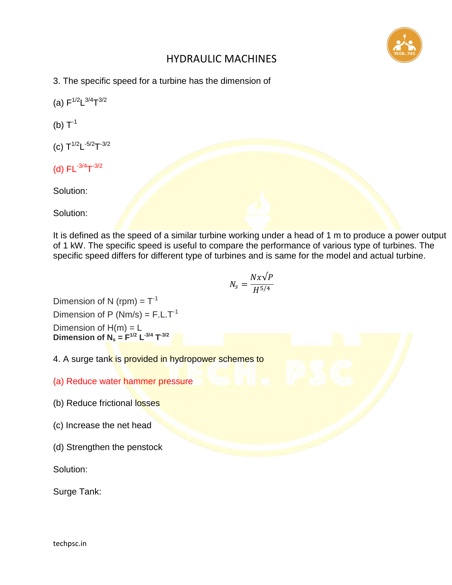

3. The specific speed for a turbine has the dimension of

(a)  $F^{1/2}L^{3/4}T^{3/2}$ 

(b)  $T^{-1}$ 

- (c)  $T^{1/2}L^{-5/2}T^{-3/2}$
- (d)  $FL^{-3/4}T^{-3/2}$

Solution:

Solution:

It is defined as the speed of a similar turbine working under a head of 1 m to produce a power output of 1 kW. The specific speed is useful to compare the performance of various type of turbines. The specific speed differs for different type of turbines and is same for the model and actual turbine.

$$
N_s = \frac{Nx\sqrt{P}}{H^{5/4}}
$$

Dimension of N (rpm) =  $T^{-1}$ Dimension of P ( $Nm/s$ ) = F.L.T<sup>-1</sup> Dimension of  $H(m) = L$ **Dimension of N<sub>s</sub>** =  $F^{1/2}$   $L^{-3/4}$   $T^{-3/2}$ 

4. A surge tank is provided in hydropower schemes to

- (a) Reduce water hammer pressure
- (b) Reduce frictional losses
- (c) Increase the net head
- (d) Strengthen the penstock

Solution:

Surge Tank: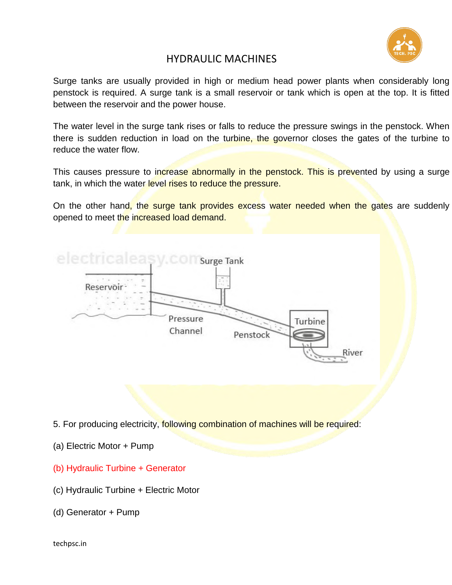

Surge tanks are usually provided in high or medium head power plants when considerably long penstock is required. A surge tank is a small reservoir or tank which is open at the top. It is fitted between the reservoir and the power house.

The water level in the surge tank rises or falls to reduce the pressure swings in the penstock. When there is sudden reduction in load on the turbine, the governor closes the gates of the turbine to reduce the water flow.

This causes pressure to increase abnormally in the penstock. This is prevented by using a surge tank, in which the water level rises to reduce the pressure.

On the other hand, the surge tank provides excess water needed when the gates are suddenly opened to meet the increased load demand.

| electricaleasy.comsurge Tank |          | ×<br>$\overline{a}$ |         |       |  |
|------------------------------|----------|---------------------|---------|-------|--|
| Reservoir-<br>÷              |          |                     |         |       |  |
|                              | Pressure |                     | Turbine |       |  |
|                              | Channel  | Penstock            |         |       |  |
|                              |          |                     | ۰.۱     | River |  |

5. For producing electricity, following combination of machines will be required:

- (a) Electric Motor + Pump
- (b) Hydraulic Turbine + Generator
- (c) Hydraulic Turbine + Electric Motor
- (d) Generator + Pump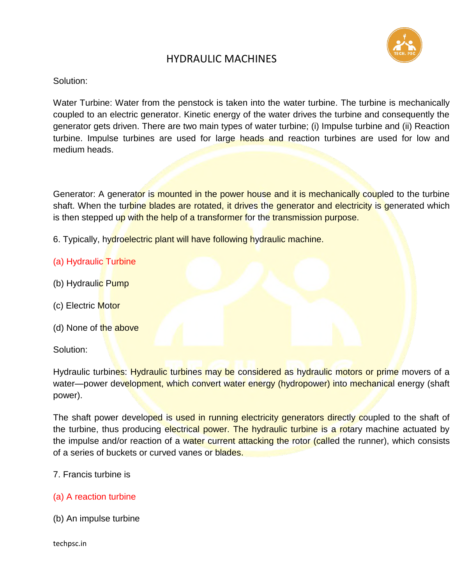

#### Solution:

Water Turbine: Water from the penstock is taken into the water turbine. The turbine is mechanically coupled to an electric generator. Kinetic energy of the water drives the turbine and consequently the generator gets driven. There are two main types of water turbine; (i) Impulse turbine and (ii) Reaction turbine. Impulse turbines are used for large heads and reaction turbines are used for low and medium heads.

Generator: A generator is mounted in the power house and it is mechanically coupled to the turbine shaft. When the turbine blades are rotated, it drives the generator and electricity is generated which is then stepped up with the help of a transformer for the transmission purpose.

6. Typically, hydroelectric plant will have following hydraulic machine.

### (a) Hydraulic Turbine

- (b) Hydraulic Pump
- (c) Electric Motor
- (d) None of the above

#### Solution:

Hydraulic turbines: Hydraulic turbines may be considered as hydraulic motors or prime movers of a water—power development, which convert water energy (hydropower) into mechanical energy (shaft power).

The shaft power developed is used in running electricity generators directly coupled to the shaft of the turbine, thus producing electrical power. The hydraulic turbine is a rotary machine actuated by the impulse and/or reaction of a water current attacking the rotor (called the runner), which consists of a series of buckets or curved vanes or blades.

#### 7. Francis turbine is

#### (a) A reaction turbine

(b) An impulse turbine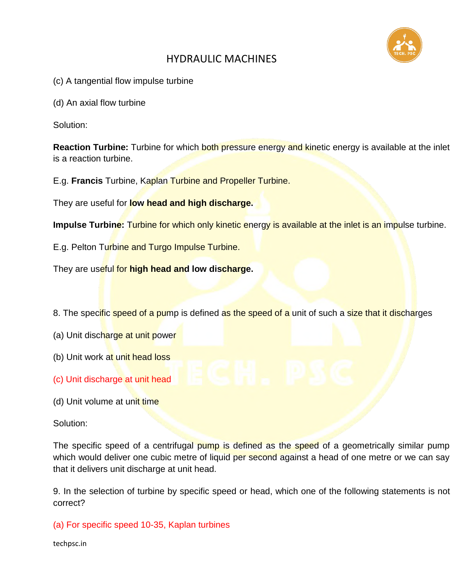

(c) A tangential flow impulse turbine

(d) An axial flow turbine

Solution:

**Reaction Turbine:** Turbine for which both pressure energy and kinetic energy is available at the inlet is a reaction turbine.

E.g. **Francis** Turbine, Kaplan Turbine and Propeller Turbine.

They are useful for **low head and high discharge.**

**Impulse Turbine:** Turbine for which only kinetic energy is available at the inlet is an impulse turbine.

E.g. Pelton Turbine and Turgo Impulse Turbine.

They are useful for **high head and low discharge.**

8. The specific speed of a pump is defined as the speed of a unit of such a size that it discharges

- (a) Unit discharge at unit power
- (b) Unit work at unit head loss
- (c) Unit discharge at unit head
- (d) Unit volume at unit time

Solution:

The specific speed of a centrifugal pump is defined as the speed of a geometrically similar pump which would deliver one cubic metre of liquid per second against a head of one metre or we can say that it delivers unit discharge at unit head.

9. In the selection of turbine by specific speed or head, which one of the following statements is not correct?

(a) For specific speed 10-35, Kaplan turbines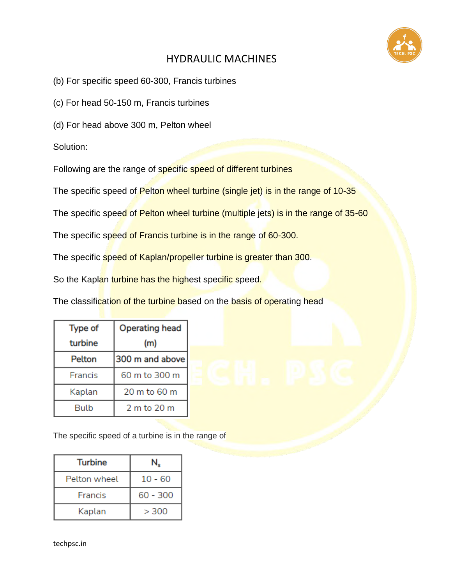

(b) For specific speed 60-300, Francis turbines

(c) For head 50-150 m, Francis turbines

(d) For head above 300 m, Pelton wheel

Solution:

Following are the range of specific speed of different turbines

The specific speed of Pelton wheel turbine (single jet) is in the range of 10-35

The specific speed of Pelton wheel turbine (multiple jets) is in the range of 35-60

The specific speed of Francis turbine is in the range of 60-300.

The specific speed of Kaplan/propeller turbine is greater than 300.

So the Kaplan turbine has the highest specific speed.

The classification of the turbine based on the basis of operating head

| <b>Type of</b> | <b>Operating head</b> |  |
|----------------|-----------------------|--|
| turbine        | (m)                   |  |
| Pelton         | 300 m and above       |  |
| Francis        | 60 m to 300 m         |  |
| Kaplan         | 20 m to 60 m          |  |
| Bulb           | 2 m to 20 m           |  |

The specific speed of a turbine is in the range of

| <b>Turbine</b> |           |  |
|----------------|-----------|--|
| Pelton wheel   | $10 - 60$ |  |
| Francis        | 60 - 300  |  |
| Kaplan         | > 300     |  |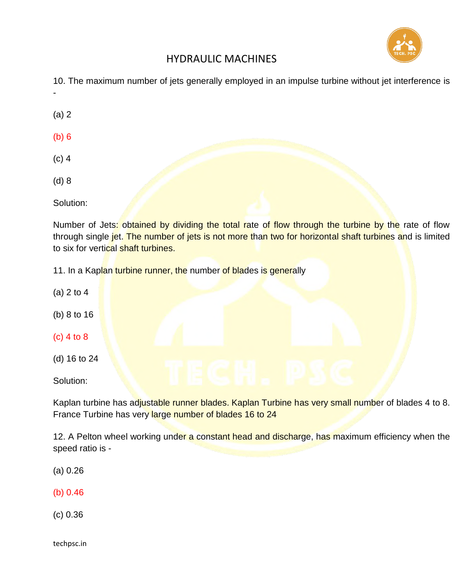

10. The maximum number of jets generally employed in an impulse turbine without jet interference is

(a) 2

-

- (b) 6
- (c) 4
- (d) 8

Solution:

Number of Jets: obtained by dividing the total rate of flow through the turbine by the rate of flow through single jet. The number of jets is not more than two for horizontal shaft turbines and is limited to six for vertical shaft turbines.

11. In a Kaplan turbine runner, the number of blades is generally

- (a) 2 to 4 (b) 8 to 16
- (c) 4 to 8
- (d) 16 to 24

Solution:

Kaplan turbine has adjustable runner blades. Kaplan Turbine has very small number of blades 4 to 8. France Turbine has very large number of blades 16 to 24

12. A Pelton wheel working under a constant head and discharge, has maximum efficiency when the speed ratio is -

(a) 0.26

(b) 0.46

(c) 0.36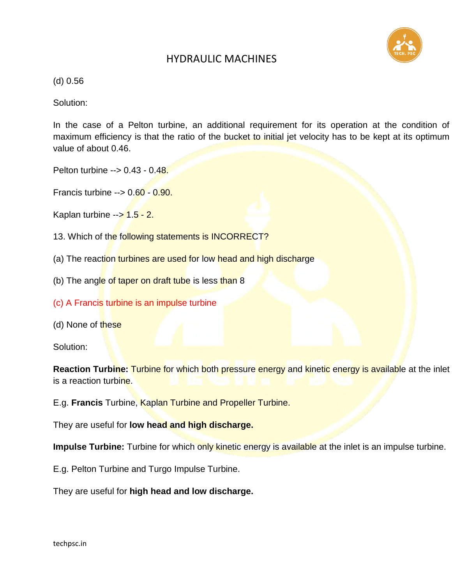

(d) 0.56

Solution:

In the case of a Pelton turbine, an additional requirement for its operation at the condition of maximum efficiency is that the ratio of the bucket to initial jet velocity has to be kept at its optimum value of about 0.46.

Pelton turbine --> 0.43 - 0.48.

Francis turbine --> 0.60 - 0.90.

Kaplan turbine  $-5$  1.5 - 2.

- 13. Which of the following statements is INCORRECT?
- (a) The reaction turbines are used for low head and high discharge
- (b) The angle of taper on draft tube is less than 8
- (c) A Francis turbine is an impulse turbine
- (d) None of these

Solution:

**Reaction Turbine:** Turbine for which both pressure energy and kinetic energy is available at the inlet is a reaction turbine.

E.g. **Francis** Turbine, Kaplan Turbine and Propeller Turbine.

They are useful for **low head and high discharge.**

**Impulse Turbine:** Turbine for which only kinetic energy is available at the inlet is an impulse turbine.

E.g. Pelton Turbine and Turgo Impulse Turbine.

They are useful for **high head and low discharge.**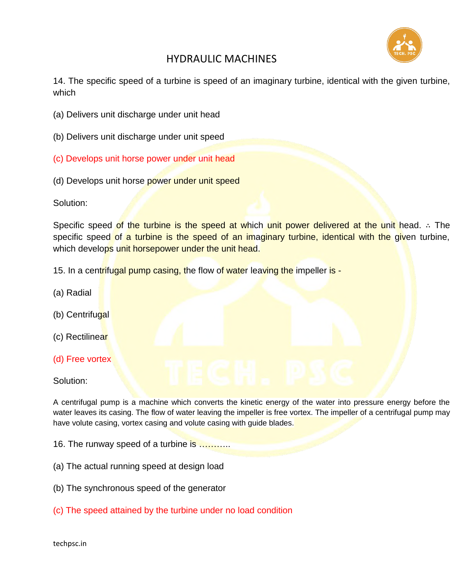

14. The specific speed of a turbine is speed of an imaginary turbine, identical with the given turbine, which

- (a) Delivers unit discharge under unit head
- (b) Delivers unit discharge under unit speed
- (c) Develops unit horse power under unit head
- (d) Develops unit horse power under unit speed

Solution:

Specific speed of the turbine is the speed at which unit power delivered at the unit head. ∴ The specific speed of a turbine is the speed of an imaginary turbine, identical with the given turbine, which develops unit horsepower under the unit head.

- 15. In a centrifugal pump casing, the flow of water leaving the impeller is -
- (a) Radial
- (b) Centrifugal
- (c) Rectilinear
- (d) Free vortex

#### Solution:

A centrifugal pump is a machine which converts the kinetic energy of the water into pressure energy before the water leaves its casing. The flow of water leaving the impeller is free vortex. The impeller of a centrifugal pump may have volute casing, vortex casing and volute casing with guide blades.

16. The runway speed of a turbine is ..........

- (a) The actual running speed at design load
- (b) The synchronous speed of the generator
- (c) The speed attained by the turbine under no load condition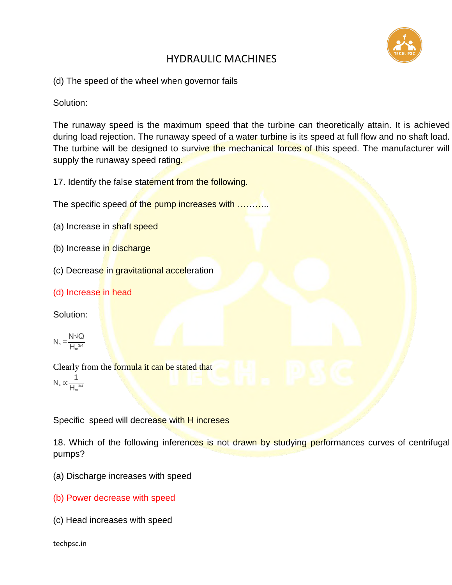

(d) The speed of the wheel when governor fails

Solution:

The runaway speed is the maximum speed that the turbine can theoretically attain. It is achieved during load rejection. The runaway speed of a water turbine is its speed at full flow and no shaft load. The turbine will be designed to survive the mechanical forces of this speed. The manufacturer will supply the runaway speed rating.

17. Identify the false statement from the following.

The specific speed of the pump increases with ............

- (a) Increase in shaft speed
- (b) Increase in discharge
- (c) Decrease in gravitational acceleration
- (d) Increase in head

Solution:

$$
N_{\rm s}=\frac{N\sqrt{Q}}{H_{\rm m}^{3/4}}
$$

Clearly from the **formula it can be stated that** N<sub>s</sub>  $\propto \frac{1}{1}$  $H_m^{3/4}$ 

Specific speed will decrease with H increses

18. Which of the following inferences is not drawn by studying performances curves of centrifugal pumps?

- (a) Discharge increases with speed
- (b) Power decrease with speed
- (c) Head increases with speed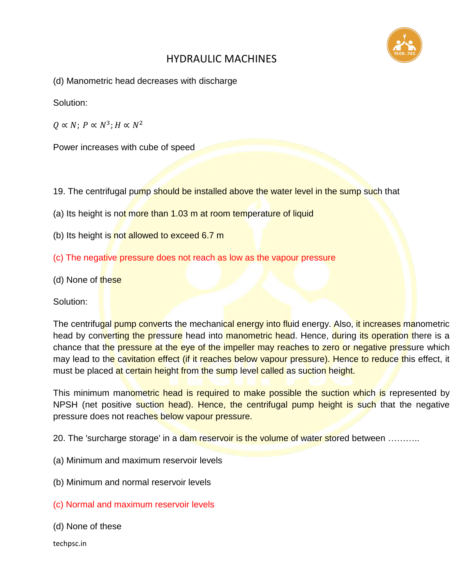

(d) Manometric head decreases with discharge

Solution:

 $Q \propto N$ ;  $P \propto N^3$ ;  $H \propto N^2$ 

Power increases with cube of speed

- 19. The centrifugal pump should be installed above the water level in the sump such that
- (a) Its height is not more than 1.03 m at room temperature of liquid
- (b) Its height is not allowed to exceed  $6.7$  m
- (c) The negative pressure does not reach as low as the vapour pressure
- (d) None of these

Solution:

The centrifugal pump converts the mechanical energy into fluid energy. Also, it increases manometric head by converting the pressure head into manometric head. Hence, during its operation there is a chance that the pressure at the eye of the impeller may reaches to zero or negative pressure which may lead to the cavitation effect (if it reaches below vapour pressure). Hence to reduce this effect, it must be placed at certain height from the sump level called as suction height.

This minimum manometric head is required to make possible the suction which is represented by NPSH (net positive suction head). Hence, the centrifugal pump height is such that the negative pressure does not reaches below vapour pressure.

20. The 'surcharge storage' in a dam reservoir is the volume of water stored between ..........

- (a) Minimum and maximum reservoir levels
- (b) Minimum and normal reservoir levels
- (c) Normal and maximum reservoir levels
- (d) None of these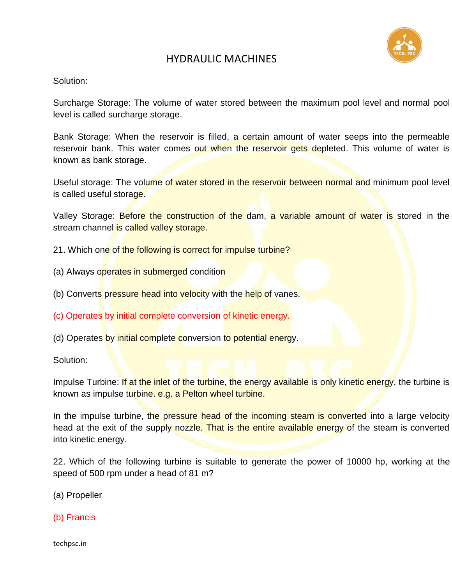

#### Solution:

Surcharge Storage: The volume of water stored between the maximum pool level and normal pool level is called surcharge storage.

Bank Storage: When the reservoir is filled, a certain amount of water seeps into the permeable reservoir bank. This water comes out when the reservoir gets depleted. This volume of water is known as bank storage.

Useful storage: The volume of water stored in the reservoir between normal and minimum pool level is called useful storage.

Valley Storage: **Before the construction of the dam, a variable amount of water is** stored in the stream channel is called valley storage.

- 21. Which one of the following is correct for impulse turbine?
- (a) Always operates in submerged condition
- (b) Converts pressure head into velocity with the help of vanes.
- (c) Operates by initial complete conversion of kinetic energy.
- (d) Operates by initial complete conversion to potential energy.

Solution:

Impulse Turbine: If at the inlet of the turbine, the energy available is only kinetic energy, the turbine is known as impulse turbine. e.g. a Pelton wheel turbine.

In the impulse turbine, the pressure head of the incoming steam is converted into a large velocity head at the exit of the supply nozzle. That is the entire available energy of the steam is converted into kinetic energy.

22. Which of the following turbine is suitable to generate the power of 10000 hp, working at the speed of 500 rpm under a head of 81 m?

(a) Propeller

(b) Francis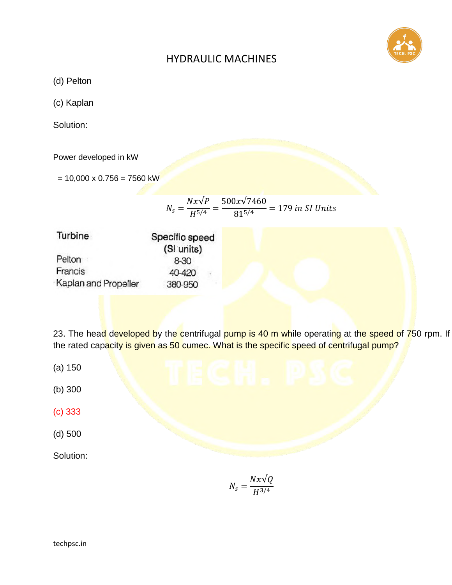

(d) Pelton

(c) Kaplan

Solution:

Power developed in kW

 $= 10,000 \times 0.756 = 7560$  kW

|  | $Nx\sqrt{P}$ 500x $\sqrt{7460}$          | $= 179$ in SI Units |
|--|------------------------------------------|---------------------|
|  | $N_s = \frac{1}{145/4} = \frac{1}{15/4}$ |                     |

| Turbine              | Specific speed   |  |  |
|----------------------|------------------|--|--|
|                      | (SI units)       |  |  |
| Pelton               | 8-30             |  |  |
| Francis              | 40-420<br>$\sim$ |  |  |
| Kaplan and Propeller | 380-950          |  |  |

23. The head developed by the centrifugal pump is 40 m while operating at the speed of 750 rpm. If the rated capacity is given as 50 cumec. What is the specific speed of centrifugal pump?

- (a) 150
- (b) 300
- (c) 333
- (d) 500

Solution:

$$
N_s = \frac{Nx\sqrt{Q}}{H^{3/4}}
$$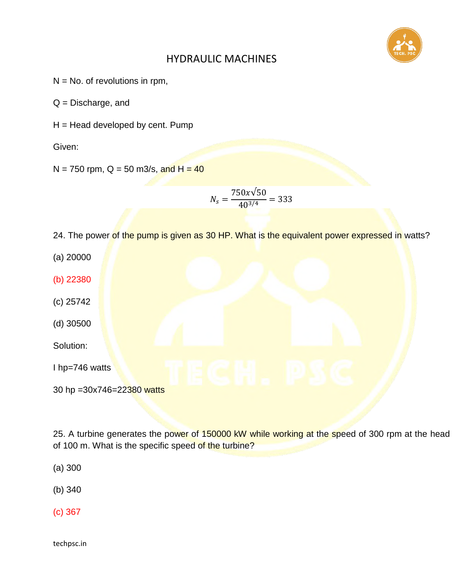

- $N = No$ . of revolutions in rpm,
- Q = Discharge, and
- $H =$  Head developed by cent. Pump

Given:

 $N = 750$  rpm, Q = 50 m3/s, and H = 40

$$
N_s = \frac{750x\sqrt{50}}{40^{3/4}} = 333
$$

24. The power of the pump is given as 30 HP. What is the equivalent power expressed in watts?

(a) 20000 (b) 22380 (c) 25742 (d) 30500 Solution:

I hp=746 watts

30 hp = 30x746 = 22380 watts

25. A turbine generates the power of 150000 kW while working at the speed of 300 rpm at the head of 100 m. What is the specific speed of the turbine?

(a) 300

(b) 340

(c) 367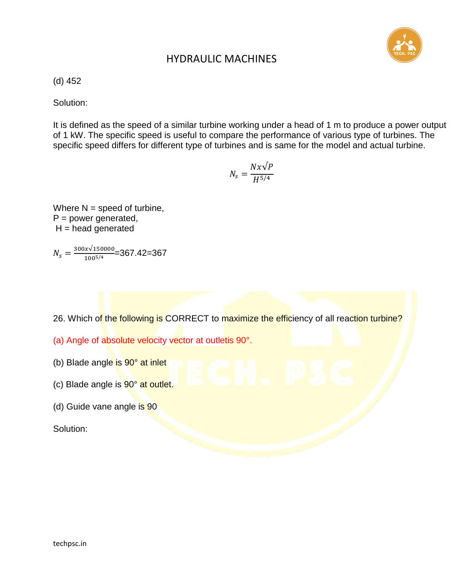

(d) 452

Solution:

It is defined as the speed of a similar turbine working under a head of 1 m to produce a power output of 1 kW. The specific speed is useful to compare the performance of various type of turbines. The specific speed differs for different type of turbines and is same for the model and actual turbine.

$$
N_s = \frac{Nx\sqrt{P}}{H^{5/4}}
$$

Where  $N =$  speed of turbine,  $P = power generated$ ,  $H =$  head generated

$$
N_s = \frac{300x\sqrt{150000}}{100^{5/4}} = 367.42 = 367
$$

- 26. Which of the following is CORRECT to maximize the efficiency of all reaction turbine?
- (a) Angle of absolute velocity vector at outletis 90°.
- (b) Blade angle is 90° at inlet
- (c) Blade angle is 90° at outlet.
- (d) Guide vane angle is 90

Solution: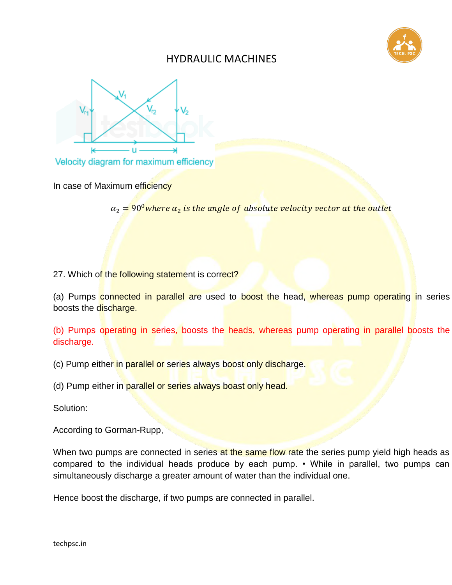



Velocity diagram for maximum efficiency

In case of Maximum efficiency

 $\alpha_2 \neq 90^{\circ}$  where  $\alpha_2$  is the angle of absolute velocity vector at the outlet

27. Which of the following statement is correct?

(a) Pumps connected in parallel are used to boost the head, whereas pump operating in series boosts the discharge.

(b) Pumps operating in series, boosts the heads, whereas pump operating in parallel boosts the discharge.

(c) Pump either in parallel or series always boost only discharge.

(d) Pump either in parallel or series always boast only head.

Solution:

According to Gorman-Rupp,

When two pumps are connected in series at the same flow rate the series pump yield high heads as compared to the individual heads produce by each pump. • While in parallel, two pumps can simultaneously discharge a greater amount of water than the individual one.

Hence boost the discharge, if two pumps are connected in parallel.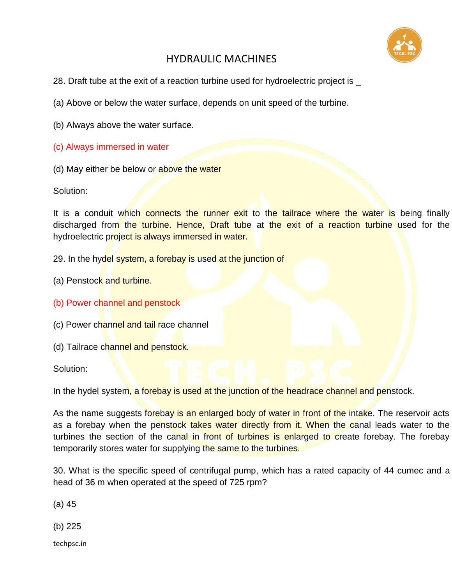

- 28. Draft tube at the exit of a reaction turbine used for hydroelectric project is \_
- (a) Above or below the water surface, depends on unit speed of the turbine.
- (b) Always above the water surface.
- (c) Always immersed in water
- (d) May either be below or above the water

Solution:

It is a conduit which connects the runner exit to the tailrace where the water is being finally discharged from the turbine. Hence, Draft tube at the exit of a reaction turbine used for the hydroelectric project is always immersed in water.

- 29. In the hydel system, a forebay is used at the junction of
- (a) Penstock and turbine.
- (b) Power channel and penstock
- (c) Power channel and tail race channel
- (d) Tailrace channel and penstock.

Solution:

In the hydel system, a forebay is used at the junction of the headrace channel and penstock.

As the name suggests forebay is an enlarged body of water in front of the intake. The reservoir acts as a forebay when the penstock takes water directly from it. When the canal leads water to the turbines the section of the canal in front of turbines is enlarged to create forebay. The forebay temporarily stores water for supplying the same to the turbines.

30. What is the specific speed of centrifugal pump, which has a rated capacity of 44 cumec and a head of 36 m when operated at the speed of 725 rpm?

(a) 45

(b) 225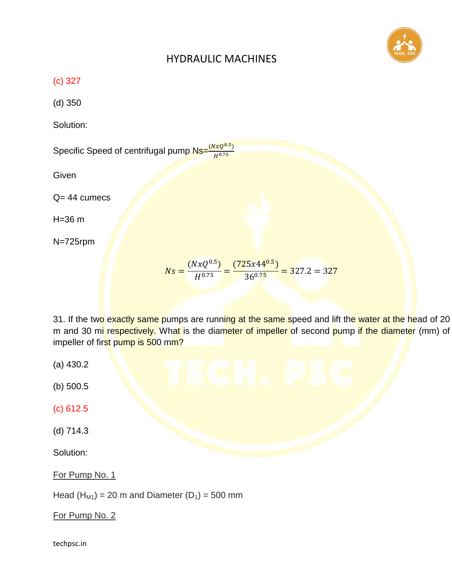

(c) 327

(d) 350

Solution:

Specific Speed of centrifugal pump  $\frac{N_S - (N_XQ^{0.5})}{N_S N_S}$  $\boldsymbol{H}$ 

**Given** 

Q= 44 cumecs

H=36 m

N=725rpm

$$
Ns = \frac{(NxQ^{0.5})}{H^{0.75}} = \frac{(725x44^{0.5})}{36^{0.75}} = 327.2 = 327
$$

31. If the two exactly same pumps are running at the same speed and lift the water at the head of 20 m and 30 mi respectively. What is the diameter of impeller of second pump if the diameter (mm) of impeller of first pump is 500 mm?

- (a) 430.2
- (b) 500.5
- (c) 612.5
- (d) 714.3

Solution:

For Pump No. 1

Head  $(H<sub>M1</sub>) = 20$  m and Diameter  $(D<sub>1</sub>) = 500$  mm

For Pump No. 2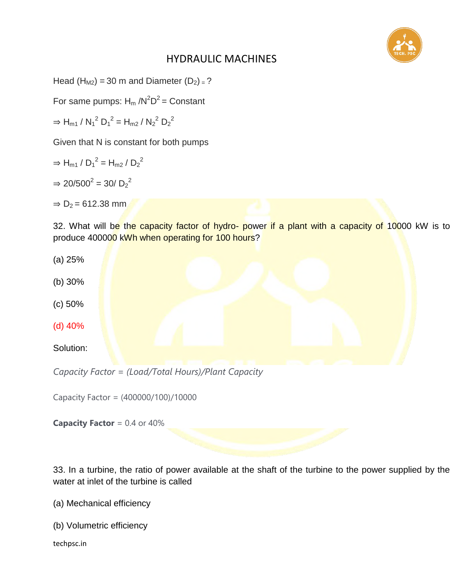

Head  $(H_{M2})$  = 30 m and Diameter  $(D_2)$  = ?

For same pumps:  $H_m/N^2D^2 =$  Constant

 $\Rightarrow$  H<sub>m1</sub> / N<sub>1</sub><sup>2</sup> D<sub>1</sub><sup>2</sup> = H<sub>m2</sub> / N<sub>2</sub><sup>2</sup> D<sub>2</sub><sup>2</sup>

Given that N is constant for both pumps

- $\Rightarrow$  H<sub>m1</sub> / D<sub>1</sub><sup>2</sup> = H<sub>m2</sub> / D<sub>2</sub><sup>2</sup>
- $\Rightarrow$  20/500<sup>2</sup> = 30/ D<sub>2</sub><sup>2</sup>

 $\Rightarrow$  D<sub>2</sub> = 612.38 mm

32. What will be the capacity factor of hydro- power if a plant with a capacity of 10000 kW is to produce 400000 kWh when operating for 100 hours?



Capacity Factor = (400000/100)/10000

**Capacity Factor** = 0.4 or 40%

33. In a turbine, the ratio of power available at the shaft of the turbine to the power supplied by the water at inlet of the turbine is called

- (a) Mechanical efficiency
- (b) Volumetric efficiency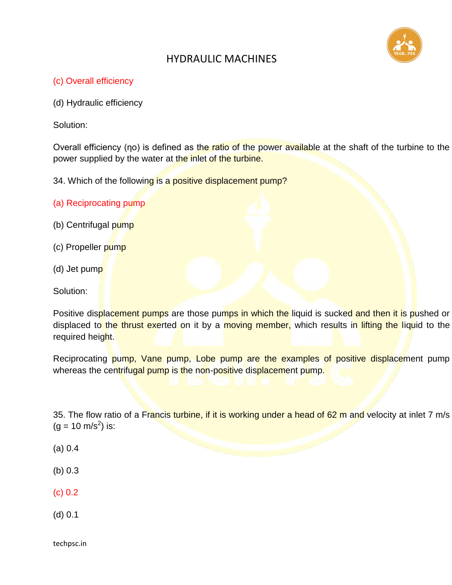

#### (c) Overall efficiency

(d) Hydraulic efficiency

Solution:

Overall efficiency (ηo) is defined as the ratio of the power available at the shaft of the turbine to the power supplied by the water at the inlet of the turbine.

34. Which of the following is a positive displacement pump?

- (a) Reciprocating pump
- (b) Centrifugal pump
- (c) Propeller pump
- (d) Jet pump
- Solution:

Positive displacement pumps are those pumps in which the liquid is sucked and then it is pushed or displaced to the thrust exerted on it by a moving member, which results in lifting the liquid to the required height.

Reciprocating pump, Vane pump, Lobe pump are the examples of positive displacement pump whereas the centrifugal pump is the non-positive displacement pump.

35. The flow ratio of a Francis turbine, if it is working under a head of 62 m and velocity at inlet 7 m/s  $(g = 10 \text{ m/s}^2)$  is:

- (a) 0.4
- (b) 0.3
- (c) 0.2
- (d) 0.1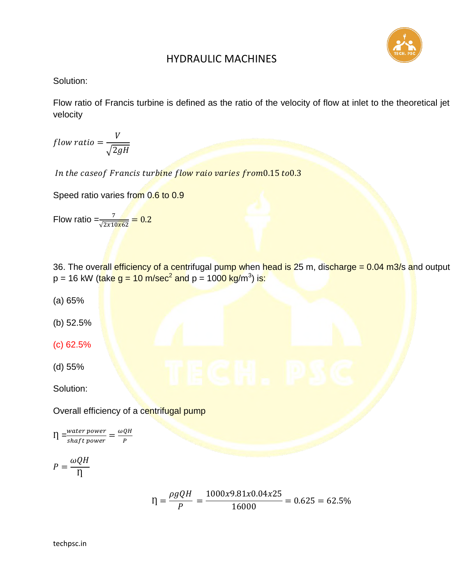

#### Solution:

Flow ratio of Francis turbine is defined as the ratio of the velocity of flow at inlet to the theoretical jet velocity

f V  $\sqrt{2}$ 

In the caseof Francis turbine flow raio varies from0.15 to0.3

Speed ratio varies from 0.6 to 0.9

Flow ratio 
$$
=\frac{7}{\sqrt{2x10x62}} = 0.2
$$

36. The overall efficiency of a centrifugal pump when head is 25 m, discharge = 0.04 m3/s and output p = 16 kW (<mark>take g = 10 m/sec<sup>2</sup> and</mark> p = 100<mark>0 kg/</mark>m<sup>3</sup>) i<mark>s:</mark>

- (a) 65%
- (b) 52.5%
- (c) 62.5%
- (d) 55%

Solution:

Overall efficiency of a centrifugal pump

$$
\eta = \frac{water\ power}{shaff\ power} = \frac{\omega QH}{P}
$$

$$
P = \frac{\omega Q H}{\eta}
$$

$$
I = \frac{\rho g Q H}{P} = \frac{1000x9.81x0.04x25}{16000} = 0.625 = 62.5\%
$$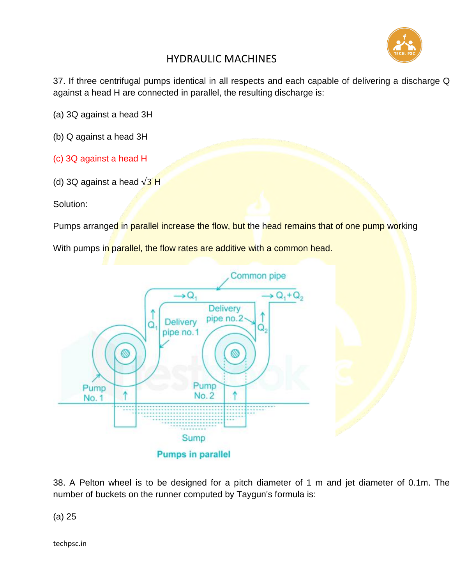

37. If three centrifugal pumps identical in all respects and each capable of delivering a discharge Q against a head H are connected in parallel, the resulting discharge is:

(a) 3Q against a head 3H

- (b) Q against a head 3H
- (c) 3Q against a head H
- (d) 3Q against a head  $\sqrt{3}$  H

Solution:

Pumps arranged in parallel increase the flow, but the head remains that of one pump working

With pumps in parallel, the flow rates are additive with a common head.



38. A Pelton wheel is to be designed for a pitch diameter of 1 m and jet diameter of 0.1m. The number of buckets on the runner computed by Taygun's formula is:

(a) 25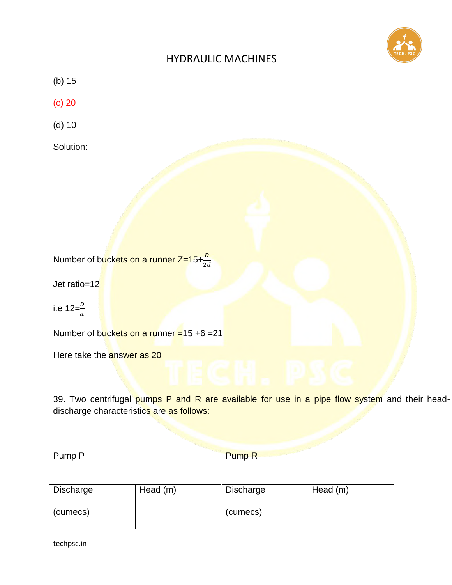

(b) 15

(c) 20

(d) 10

Solution:

Number of b<mark>uckets on a runner Z=15+ $\frac{D}{2\epsilon}$ </mark>

Jet ratio=12

i.e 12= $\frac{D}{d}$ 

Number of buckets on a runner =15 +6 =21

Here take the answer as 20

39. Two centrifugal pumps P and R are available for use in a pipe flow system and their headdischarge characteristics are as follows:

| Pump P    |            | Pump <sub>R</sub> |          |
|-----------|------------|-------------------|----------|
|           |            |                   |          |
| Discharge | Head $(m)$ | Discharge         | Head (m) |
| (cumecs)  |            | (cumecs)          |          |